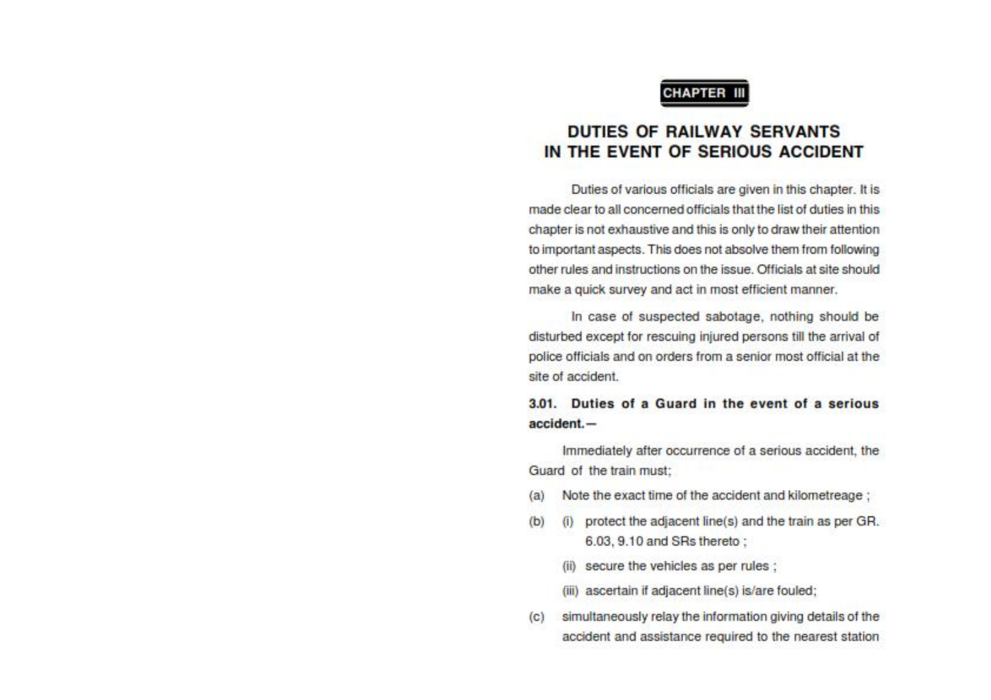### **CHAPTER III**

# **DUTIES OF RAILWAY SERVANTS** IN THE EVENT OF SERIOUS ACCIDENT

Duties of various officials are given in this chapter. It is made clear to all concerned officials that the list of duties in this chapter is not exhaustive and this is only to draw their attention to important aspects. This does not absolve them from following other rules and instructions on the issue. Officials at site should make a quick survey and act in most efficient manner.

In case of suspected sabotage, nothing should be disturbed except for rescuing injured persons till the arrival of police officials and on orders from a senior most official at the site of accident.

### 3.01. Duties of a Guard in the event of a serious  $accident. -$

Immediately after occurrence of a serious accident, the Guard of the train must:

- Note the exact time of the accident and kilometreage ;  $(a)$
- $(b)$ (i) protect the adjacent line(s) and the train as per GR. 6.03, 9.10 and SRs thereto ;
	- (ii) secure the vehicles as per rules ;
	- (iii) ascertain if adjacent line(s) is/are fouled;
- simultaneously relay the information giving details of the  $(c)$ accident and assistance required to the nearest station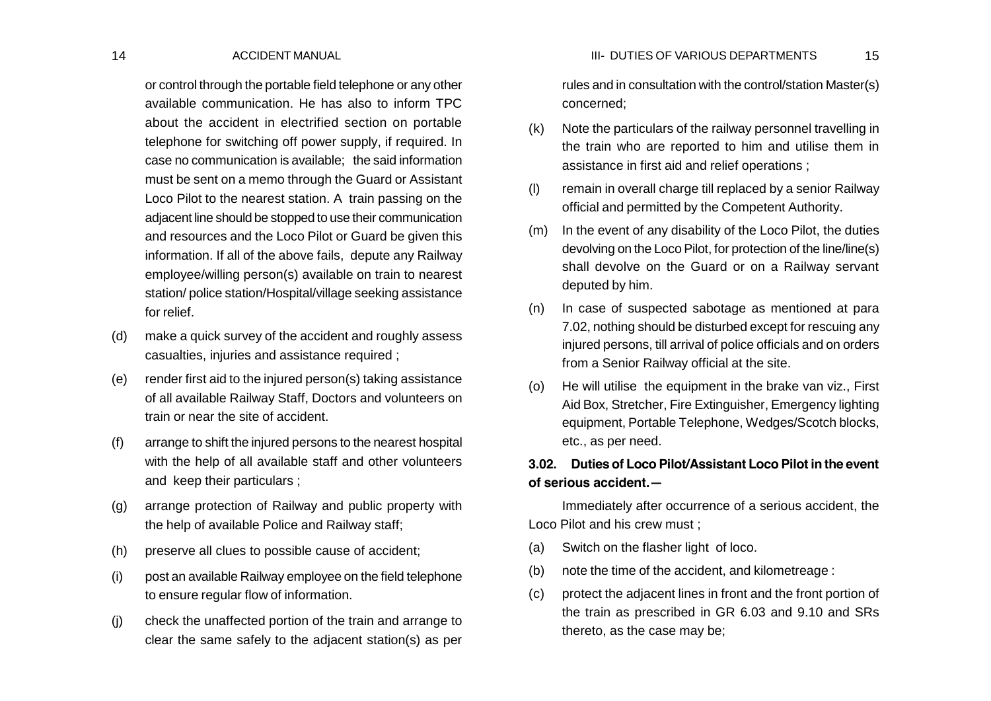or control through the portable field telephone or any other available communication. He has also to inform TPC about the accident in electrified section on portable telephone for switching off power supply, if required. In case no communication is available; the said information must be sent on a memo through the Guard or Assistant Loco Pilot to the nearest station. A train passing on the adjacent line should be stopped to use their communication and resources and the Loco Pilot or Guard be given this information. If all of the above fails, depute any Railway employee/willing person(s) available on train to nearest station/ police station/Hospital/village seeking assistance for relief.

- (d) make a quick survey of the accident and roughly assess casualties, injuries and assistance required ;
- (e) render first aid to the injured person(s) taking assistance of all available Railway Staff, Doctors and volunteers on train or near the site of accident.
- (f) arrange to shift the injured persons to the nearest hospital with the help of all available staff and other volunteers and keep their particulars ;
- (g) arrange protection of Railway and public property with the help of available Police and Railway staff;
- (h) preserve all clues to possible cause of accident;
- (i) post an available Railway employee on the field telephone to ensure regular flow of information.
- (j) check the unaffected portion of the train and arrange to clear the same safely to the adjacent station(s) as per

rules and in consultation with the control/station Master(s) concerned;

- (k) Note the particulars of the railway personnel travelling in the train who are reported to him and utilise them in assistance in first aid and relief operations ;
- (l) remain in overall charge till replaced by a senior Railway official and permitted by the Competent Authority.
- (m) In the event of any disability of the Loco Pilot, the duties devolving on the Loco Pilot, for protection of the line/line(s) shall devolve on the Guard or on a Railway servant deputed by him.
- (n) In case of suspected sabotage as mentioned at para 7.02, nothing should be disturbed except for rescuing any injured persons, till arrival of police officials and on orders from a Senior Railway official at the site.
- (o) He will utilise the equipment in the brake van viz., First Aid Box, Stretcher, Fire Extinguisher, Emergency lighting equipment, Portable Telephone, Wedges/Scotch blocks, etc., as per need.

# **3.02. Duties of Loco Pilot/Assistant Loco Pilot in the event of serious accident.—**

Immediately after occurrence of a serious accident, the Loco Pilot and his crew must ;

- (a) Switch on the flasher light of loco.
- (b) note the time of the accident, and kilometreage :
- (c) protect the adjacent lines in front and the front portion of the train as prescribed in GR 6.03 and 9.10 and SRs thereto, as the case may be;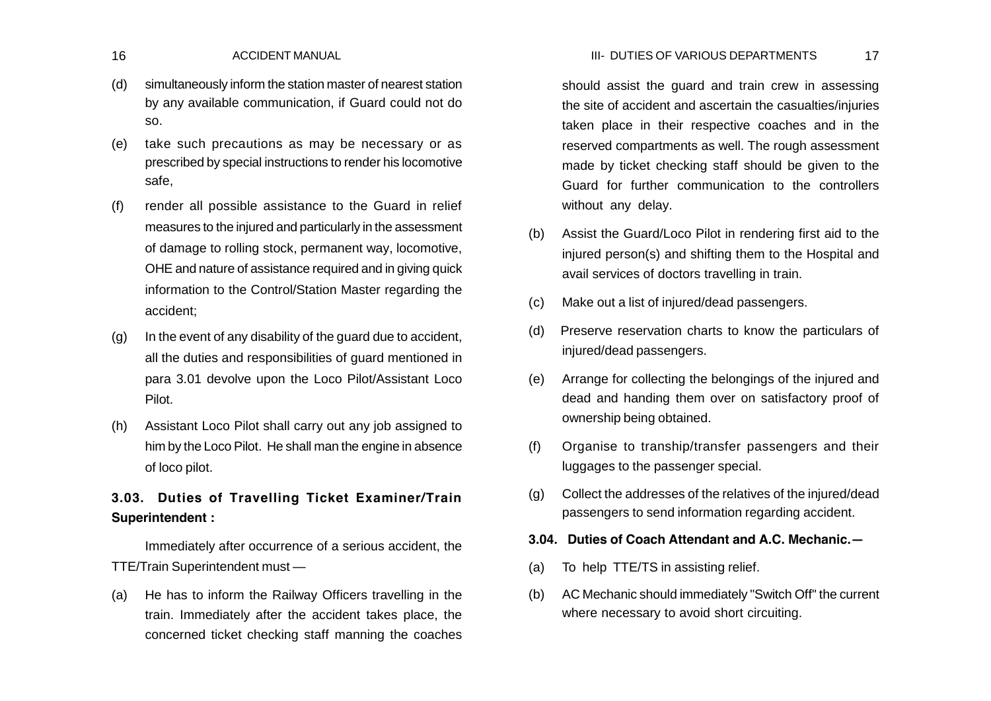## 16 ACCIDENT MANUAL 17 III- DUTIES OF VARIOUS DEPARTMENTS

- (d) simultaneously inform the station master of nearest station by any available communication, if Guard could not do so.
- (e) take such precautions as may be necessary or as prescribed by special instructions to render his locomotive safe,
- (f) render all possible assistance to the Guard in relief measures to the injured and particularly in the assessment of damage to rolling stock, permanent way, locomotive, OHE and nature of assistance required and in giving quick information to the Control/Station Master regarding the accident;
- (g) In the event of any disability of the guard due to accident, all the duties and responsibilities of guard mentioned in para 3.01 devolve upon the Loco Pilot/Assistant Loco Pilot.
- (h) Assistant Loco Pilot shall carry out any job assigned to him by the Loco Pilot. He shall man the engine in absence of loco pilot.

# **3.03. Duties of Travelling Ticket Examiner/Train Superintendent :**

Immediately after occurrence of a serious accident, the TTE/Train Superintendent must —

(a) He has to inform the Railway Officers travelling in the train. Immediately after the accident takes place, the concerned ticket checking staff manning the coaches should assist the guard and train crew in assessing the site of accident and ascertain the casualties/injuries taken place in their respective coaches and in the reserved compartments as well. The rough assessment made by ticket checking staff should be given to the Guard for further communication to the controllers without any delay.

- (b) Assist the Guard/Loco Pilot in rendering first aid to the injured person(s) and shifting them to the Hospital and avail services of doctors travelling in train.
- (c) Make out a list of injured/dead passengers.
- (d) Preserve reservation charts to know the particulars of injured/dead passengers.
- (e) Arrange for collecting the belongings of the injured and dead and handing them over on satisfactory proof of ownership being obtained.
- (f) Organise to tranship/transfer passengers and their luggages to the passenger special.
- (g) Collect the addresses of the relatives of the injured/dead passengers to send information regarding accident.

# **3.04. Duties of Coach Attendant and A.C. Mechanic.—**

- (a) To help TTE/TS in assisting relief.
- (b) AC Mechanic should immediately "Switch Off" the current where necessary to avoid short circuiting.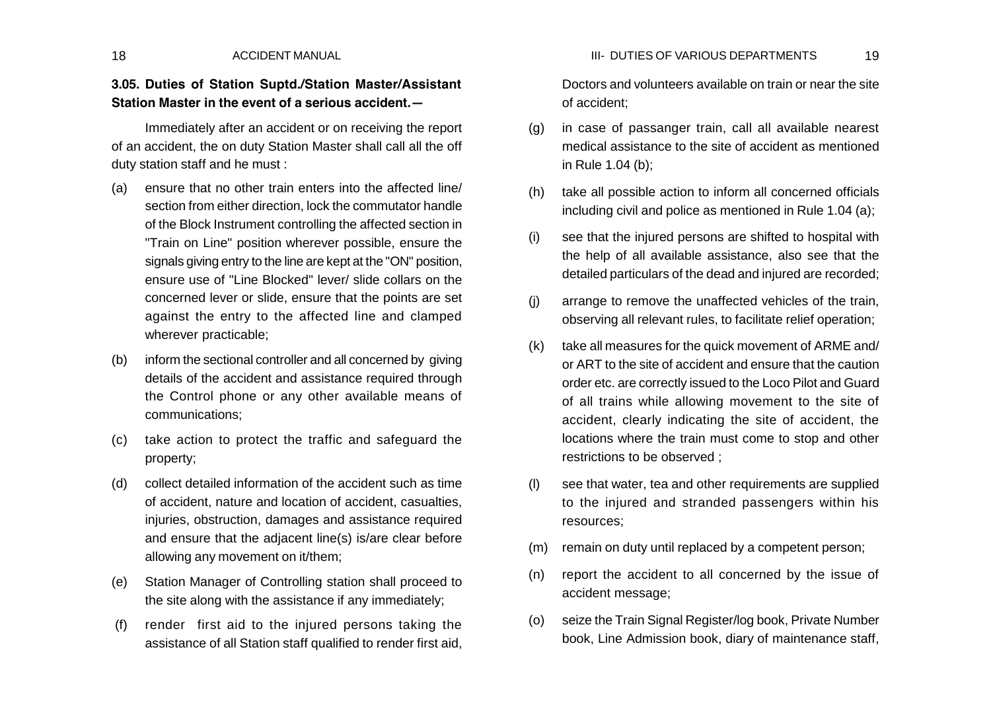## 18 ACCIDENT MANUAL 19 III- DUTIES OF VARIOUS DEPARTMENTS

# **3.05. Duties of Station Suptd./Station Master/Assistant Station Master in the event of a serious accident.—**

Immediately after an accident or on receiving the report of an accident, the on duty Station Master shall call all the off duty station staff and he must :

- (a) ensure that no other train enters into the affected line/ section from either direction, lock the commutator handle of the Block Instrument controlling the affected section in "Train on Line" position wherever possible, ensure the signals giving entry to the line are kept at the "ON" position, ensure use of "Line Blocked" lever/ slide collars on the concerned lever or slide, ensure that the points are set against the entry to the affected line and clamped wherever practicable;
- (b) inform the sectional controller and all concerned by giving details of the accident and assistance required through the Control phone or any other available means of communications;
- (c) take action to protect the traffic and safeguard the property;
- (d) collect detailed information of the accident such as time of accident, nature and location of accident, casualties, injuries, obstruction, damages and assistance required and ensure that the adjacent line(s) is/are clear before allowing any movement on it/them;
- (e) Station Manager of Controlling station shall proceed to the site along with the assistance if any immediately;
- (f) render first aid to the injured persons taking the assistance of all Station staff qualified to render first aid,

Doctors and volunteers available on train or near the site of accident;

- (g) in case of passanger train, call all available nearest medical assistance to the site of accident as mentioned in Rule 1.04 (b);
- (h) take all possible action to inform all concerned officials including civil and police as mentioned in Rule 1.04 (a);
- (i) see that the injured persons are shifted to hospital with the help of all available assistance, also see that the detailed particulars of the dead and injured are recorded;
- (j) arrange to remove the unaffected vehicles of the train, observing all relevant rules, to facilitate relief operation;
- (k) take all measures for the quick movement of ARME and/ or ART to the site of accident and ensure that the caution order etc. are correctly issued to the Loco Pilot and Guard of all trains while allowing movement to the site of accident, clearly indicating the site of accident, the locations where the train must come to stop and other restrictions to be observed ;
- (l) see that water, tea and other requirements are supplied to the injured and stranded passengers within his resources;
- (m) remain on duty until replaced by a competent person;
- (n) report the accident to all concerned by the issue of accident message;
- (o) seize the Train Signal Register/log book, Private Number book, Line Admission book, diary of maintenance staff,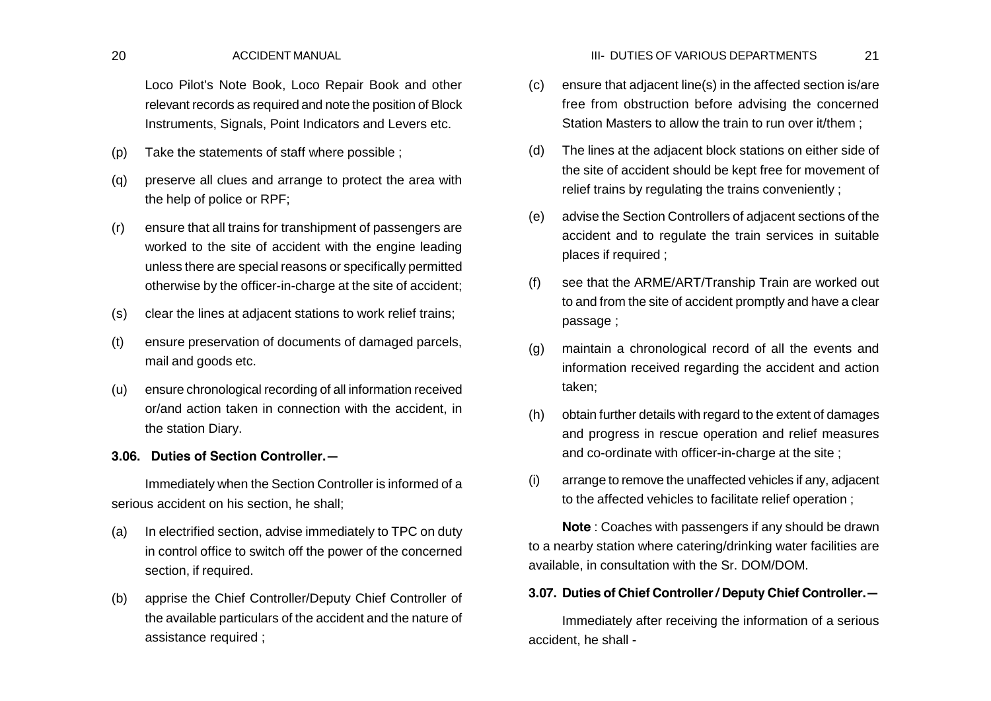Loco Pilot's Note Book, Loco Repair Book and other relevant records as required and note the position of Block Instruments, Signals, Point Indicators and Levers etc.

- (p) Take the statements of staff where possible ;
- (q) preserve all clues and arrange to protect the area with the help of police or RPF;
- (r) ensure that all trains for transhipment of passengers are worked to the site of accident with the engine leading unless there are special reasons or specifically permitted otherwise by the officer-in-charge at the site of accident;
- (s) clear the lines at adjacent stations to work relief trains;
- (t) ensure preservation of documents of damaged parcels, mail and goods etc.
- (u) ensure chronological recording of all information received or/and action taken in connection with the accident, in the station Diary.

# **3.06. Duties of Section Controller.—**

Immediately when the Section Controller is informed of a serious accident on his section, he shall;

- (a) In electrified section, advise immediately to TPC on duty in control office to switch off the power of the concerned section, if required.
- (b) apprise the Chief Controller/Deputy Chief Controller of the available particulars of the accident and the nature of assistance required ;
- (c) ensure that adjacent line(s) in the affected section is/are free from obstruction before advising the concerned Station Masters to allow the train to run over it/them ;
- (d) The lines at the adjacent block stations on either side of the site of accident should be kept free for movement of relief trains by regulating the trains conveniently ;
- (e) advise the Section Controllers of adjacent sections of the accident and to regulate the train services in suitable places if required ;
- (f) see that the ARME/ART/Tranship Train are worked out to and from the site of accident promptly and have a clear passage ;
- (g) maintain a chronological record of all the events and information received regarding the accident and action taken;
- (h) obtain further details with regard to the extent of damages and progress in rescue operation and relief measures and co-ordinate with officer-in-charge at the site ;
- (i) arrange to remove the unaffected vehicles if any, adjacent to the affected vehicles to facilitate relief operation ;

**Note** : Coaches with passengers if any should be drawn to a nearby station where catering/drinking water facilities are available, in consultation with the Sr. DOM/DOM.

# **3.07. Duties of Chief Controller / Deputy Chief Controller.—**

Immediately after receiving the information of a serious accident, he shall -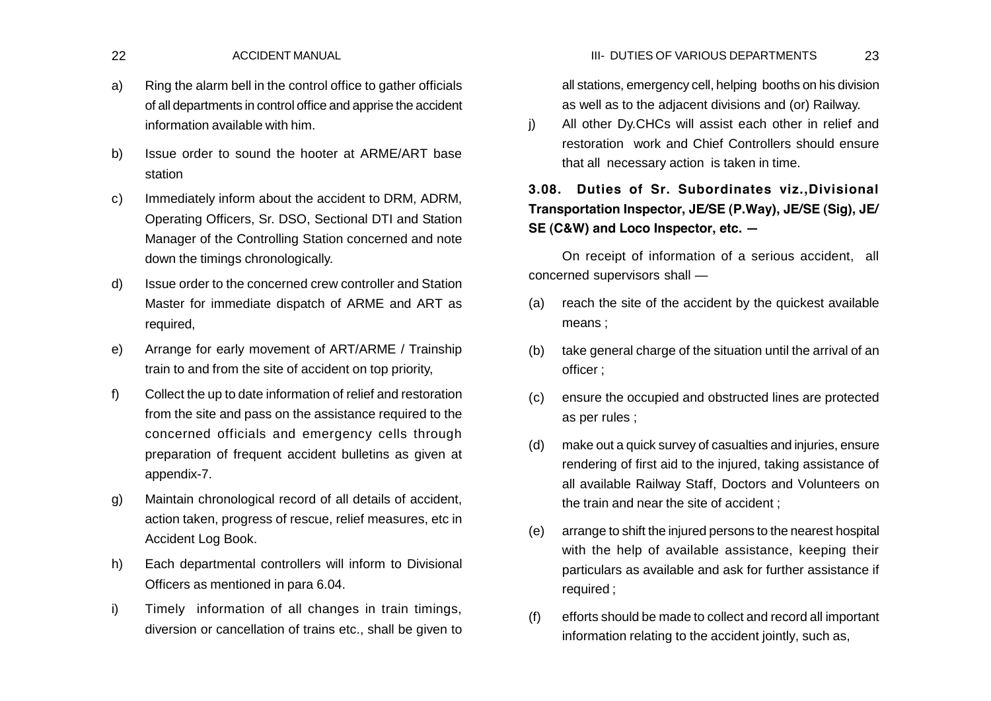## 22 ACCIDENT MANUAL 23 III- DUTIES OF VARIOUS DEPARTMENTS

- a) Ring the alarm bell in the control office to gather officials of all departments in control office and apprise the accident information available with him.
- b) Issue order to sound the hooter at ARME/ART base station
- c) Immediately inform about the accident to DRM, ADRM, Operating Officers, Sr. DSO, Sectional DTI and Station Manager of the Controlling Station concerned and note down the timings chronologically.
- d) Issue order to the concerned crew controller and Station Master for immediate dispatch of ARME and ART as required,
- e) Arrange for early movement of ART/ARME / Trainship train to and from the site of accident on top priority,
- f) Collect the up to date information of relief and restoration from the site and pass on the assistance required to the concerned officials and emergency cells through preparation of frequent accident bulletins as given at appendix-7.
- g) Maintain chronological record of all details of accident, action taken, progress of rescue, relief measures, etc in Accident Log Book.
- h) Each departmental controllers will inform to Divisional Officers as mentioned in para 6.04.
- i) Timely information of all changes in train timings, diversion or cancellation of trains etc., shall be given to

all stations, emergency cell, helping booths on his division as well as to the adjacent divisions and (or) Railway.

j) All other Dy.CHCs will assist each other in relief and restoration work and Chief Controllers should ensure that all necessary action is taken in time.

# **3.08. Duties of Sr. Subordinates viz.,Divisional Transportation Inspector, JE/SE (P.Way), JE/SE (Sig), JE/ SE (C&W) and Loco Inspector, etc. —**

On receipt of information of a serious accident, all concerned supervisors shall —

- (a) reach the site of the accident by the quickest available means ;
- (b) take general charge of the situation until the arrival of an officer ;
- (c) ensure the occupied and obstructed lines are protected as per rules ;
- (d) make out a quick survey of casualties and injuries, ensure rendering of first aid to the injured, taking assistance of all available Railway Staff, Doctors and Volunteers on the train and near the site of accident ;
- (e) arrange to shift the injured persons to the nearest hospital with the help of available assistance, keeping their particulars as available and ask for further assistance if required ;
- (f) efforts should be made to collect and record all important information relating to the accident jointly, such as,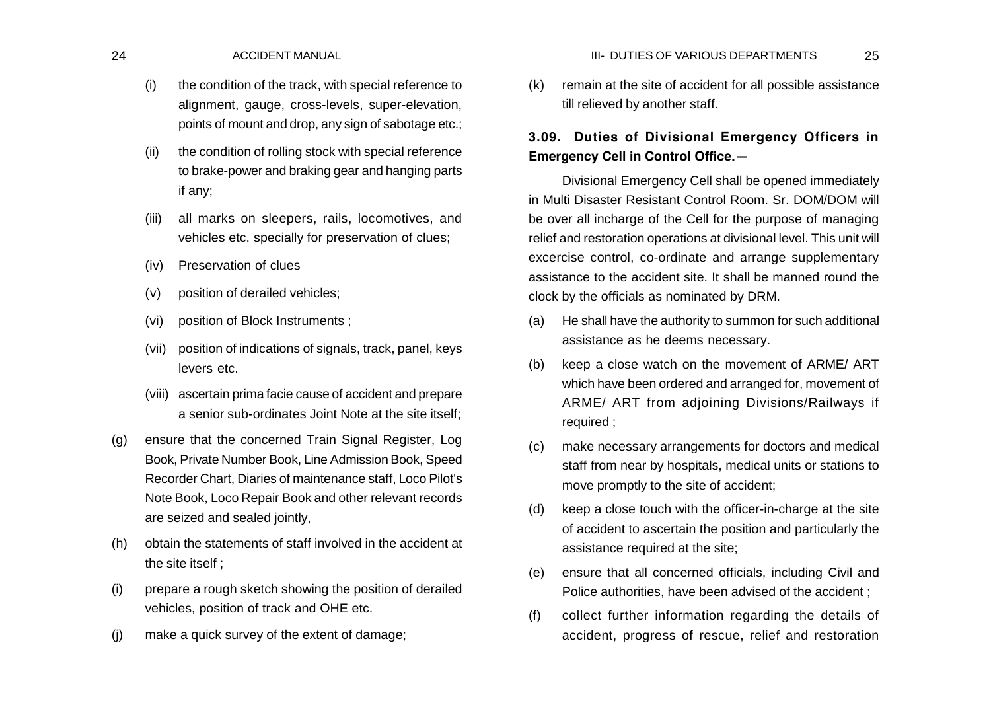- (i) the condition of the track, with special reference to alignment, gauge, cross-levels, super-elevation, points of mount and drop, any sign of sabotage etc.;
- (ii) the condition of rolling stock with special reference to brake-power and braking gear and hanging parts if any;
- (iii) all marks on sleepers, rails, locomotives, and vehicles etc. specially for preservation of clues;
- (iv) Preservation of clues
- (v) position of derailed vehicles;
- (vi) position of Block Instruments ;
- (vii) position of indications of signals, track, panel, keys levers etc.
- (viii) ascertain prima facie cause of accident and prepare a senior sub-ordinates Joint Note at the site itself;
- (g) ensure that the concerned Train Signal Register, Log Book, Private Number Book, Line Admission Book, Speed Recorder Chart, Diaries of maintenance staff, Loco Pilot's Note Book, Loco Repair Book and other relevant records are seized and sealed jointly,
- (h) obtain the statements of staff involved in the accident at the site itself ;
- (i) prepare a rough sketch showing the position of derailed vehicles, position of track and OHE etc.
- (j) make a quick survey of the extent of damage;

(k) remain at the site of accident for all possible assistance till relieved by another staff.

# **3.09. Duties of Divisional Emergency Officers in Emergency Cell in Control Office.—**

Divisional Emergency Cell shall be opened immediately in Multi Disaster Resistant Control Room. Sr. DOM/DOM will be over all incharge of the Cell for the purpose of managing relief and restoration operations at divisional level. This unit will excercise control, co-ordinate and arrange supplementary assistance to the accident site. It shall be manned round the clock by the officials as nominated by DRM.

- (a) He shall have the authority to summon for such additional assistance as he deems necessary.
- (b) keep a close watch on the movement of ARME/ ART which have been ordered and arranged for, movement of ARME/ ART from adjoining Divisions/Railways if required ;
- (c) make necessary arrangements for doctors and medical staff from near by hospitals, medical units or stations to move promptly to the site of accident;
- (d) keep a close touch with the officer-in-charge at the site of accident to ascertain the position and particularly the assistance required at the site;
- (e) ensure that all concerned officials, including Civil and Police authorities, have been advised of the accident ;
- (f) collect further information regarding the details of accident, progress of rescue, relief and restoration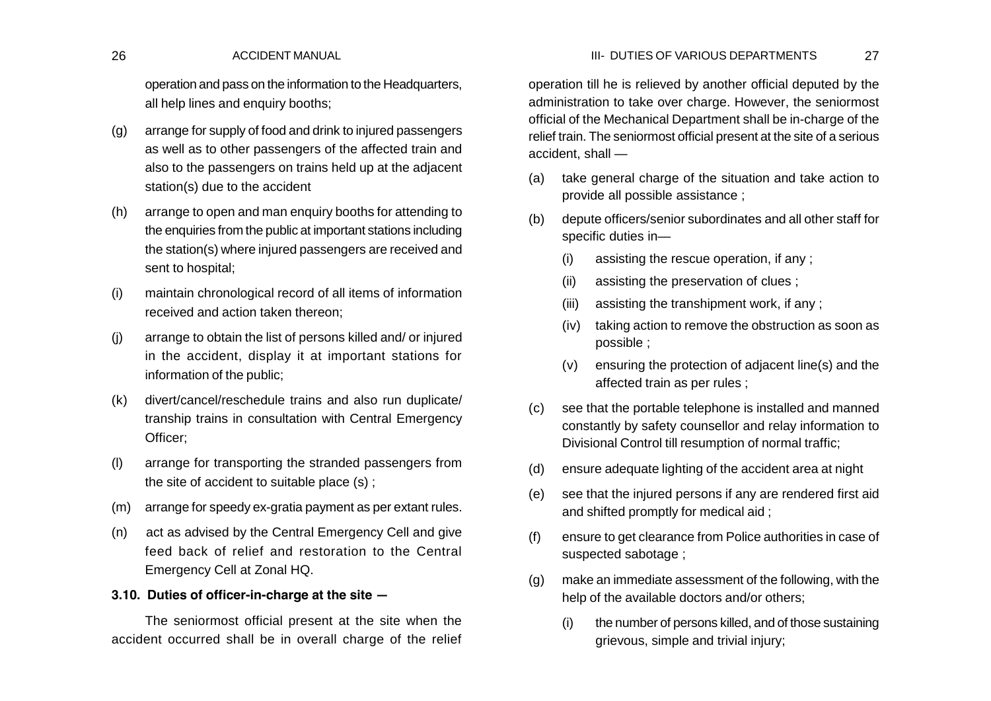## 26 ACCIDENT MANUAL 27 III- DUTIES OF VARIOUS DEPARTMENTS

operation and pass on the information to the Headquarters, all help lines and enquiry booths;

- (g) arrange for supply of food and drink to injured passengers as well as to other passengers of the affected train and also to the passengers on trains held up at the adjacent station(s) due to the accident
- (h) arrange to open and man enquiry booths for attending to the enquiries from the public at important stations including the station(s) where injured passengers are received and sent to hospital;
- (i) maintain chronological record of all items of information received and action taken thereon;
- (j) arrange to obtain the list of persons killed and/ or injured in the accident, display it at important stations for information of the public;
- (k) divert/cancel/reschedule trains and also run duplicate/ tranship trains in consultation with Central Emergency Officer;
- (l) arrange for transporting the stranded passengers from the site of accident to suitable place (s) ;
- (m) arrange for speedy ex-gratia payment as per extant rules.
- (n) act as advised by the Central Emergency Cell and give feed back of relief and restoration to the Central Emergency Cell at Zonal HQ.

## **3.10. Duties of officer-in-charge at the site —**

The seniormost official present at the site when the accident occurred shall be in overall charge of the relief operation till he is relieved by another official deputed by the administration to take over charge. However, the seniormost official of the Mechanical Department shall be in-charge of the relief train. The seniormost official present at the site of a serious accident, shall —

- (a) take general charge of the situation and take action to provide all possible assistance ;
- (b) depute officers/senior subordinates and all other staff for specific duties in—
	- (i) assisting the rescue operation, if any ;
	- (ii) assisting the preservation of clues ;
	- (iii) assisting the transhipment work, if any ;
	- (iv) taking action to remove the obstruction as soon as possible ;
	- (v) ensuring the protection of adjacent line(s) and the affected train as per rules ;
- (c) see that the portable telephone is installed and manned constantly by safety counsellor and relay information to Divisional Control till resumption of normal traffic;
- (d) ensure adequate lighting of the accident area at night
- (e) see that the injured persons if any are rendered first aid and shifted promptly for medical aid ;
- (f) ensure to get clearance from Police authorities in case of suspected sabotage ;
- (g) make an immediate assessment of the following, with the help of the available doctors and/or others;
	- (i) the number of persons killed, and of those sustaining grievous, simple and trivial injury;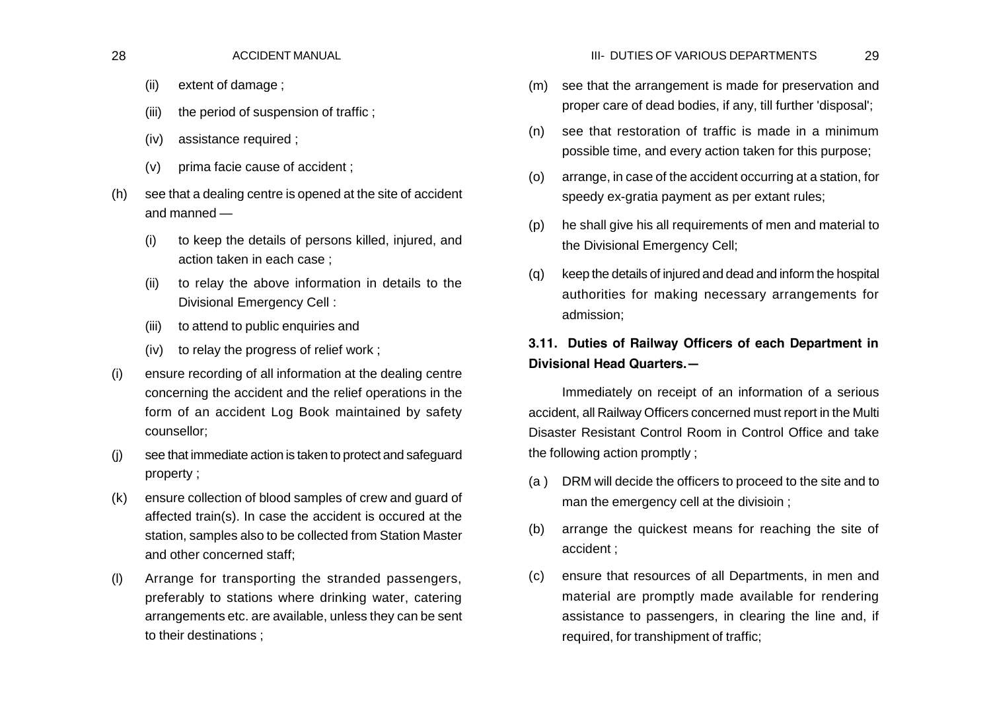- (ii) extent of damage ;
- (iii) the period of suspension of traffic ;
- (iv) assistance required ;
- (v) prima facie cause of accident ;
- (h) see that a dealing centre is opened at the site of accident and manned —
	- (i) to keep the details of persons killed, injured, and action taken in each case ;
	- (ii) to relay the above information in details to the Divisional Emergency Cell :
	- (iii) to attend to public enquiries and
	- (iv) to relay the progress of relief work ;
- (i) ensure recording of all information at the dealing centre concerning the accident and the relief operations in the form of an accident Log Book maintained by safety counsellor;
- (j) see that immediate action is taken to protect and safeguard property ;
- (k) ensure collection of blood samples of crew and guard of affected train(s). In case the accident is occured at the station, samples also to be collected from Station Master and other concerned staff;
- (l) Arrange for transporting the stranded passengers, preferably to stations where drinking water, catering arrangements etc. are available, unless they can be sent to their destinations ;

### 28 ACCIDENT MANUAL 29 III- DUTIES OF VARIOUS DEPARTMENTS

- (m) see that the arrangement is made for preservation and proper care of dead bodies, if any, till further 'disposal';
- (n) see that restoration of traffic is made in a minimum possible time, and every action taken for this purpose;
- (o) arrange, in case of the accident occurring at a station, for speedy ex-gratia payment as per extant rules;
- (p) he shall give his all requirements of men and material to the Divisional Emergency Cell;
- (q) keep the details of injured and dead and inform the hospital authorities for making necessary arrangements for admission;

# **3.11. Duties of Railway Officers of each Department in Divisional Head Quarters.—**

Immediately on receipt of an information of a serious accident, all Railway Officers concerned must report in the Multi Disaster Resistant Control Room in Control Office and take the following action promptly ;

- (a ) DRM will decide the officers to proceed to the site and to man the emergency cell at the divisioin ;
- (b) arrange the quickest means for reaching the site of accident ;
- (c) ensure that resources of all Departments, in men and material are promptly made available for rendering assistance to passengers, in clearing the line and, if required, for transhipment of traffic;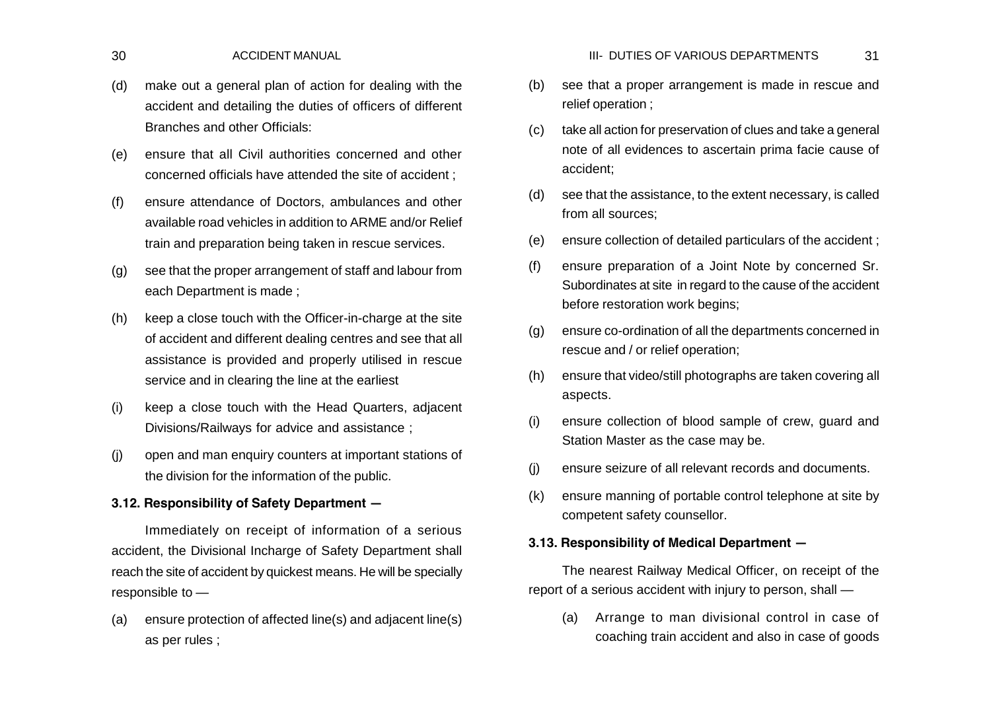- (d) make out a general plan of action for dealing with the accident and detailing the duties of officers of different Branches and other Officials:
- (e) ensure that all Civil authorities concerned and other concerned officials have attended the site of accident ;
- (f) ensure attendance of Doctors, ambulances and other available road vehicles in addition to ARME and/or Relief train and preparation being taken in rescue services.
- (g) see that the proper arrangement of staff and labour from each Department is made ;
- (h) keep a close touch with the Officer-in-charge at the site of accident and different dealing centres and see that all assistance is provided and properly utilised in rescue service and in clearing the line at the earliest
- (i) keep a close touch with the Head Quarters, adjacent Divisions/Railways for advice and assistance ;
- (j) open and man enquiry counters at important stations of the division for the information of the public.

# **3.12. Responsibility of Safety Department —**

Immediately on receipt of information of a serious accident, the Divisional Incharge of Safety Department shall reach the site of accident by quickest means. He will be specially responsible to —

(a) ensure protection of affected line(s) and adjacent line(s) as per rules ;

- (b) see that a proper arrangement is made in rescue and relief operation ;
- (c) take all action for preservation of clues and take a general note of all evidences to ascertain prima facie cause of accident;
- (d) see that the assistance, to the extent necessary, is called from all sources;
- (e) ensure collection of detailed particulars of the accident ;
- (f) ensure preparation of a Joint Note by concerned Sr. Subordinates at site in regard to the cause of the accident before restoration work begins;
- (g) ensure co-ordination of all the departments concerned in rescue and / or relief operation;
- (h) ensure that video/still photographs are taken covering all aspects.
- (i) ensure collection of blood sample of crew, guard and Station Master as the case may be.
- (j) ensure seizure of all relevant records and documents.
- (k) ensure manning of portable control telephone at site by competent safety counsellor.

## **3.13. Responsibility of Medical Department —**

The nearest Railway Medical Officer, on receipt of the report of a serious accident with injury to person, shall —

(a) Arrange to man divisional control in case of coaching train accident and also in case of goods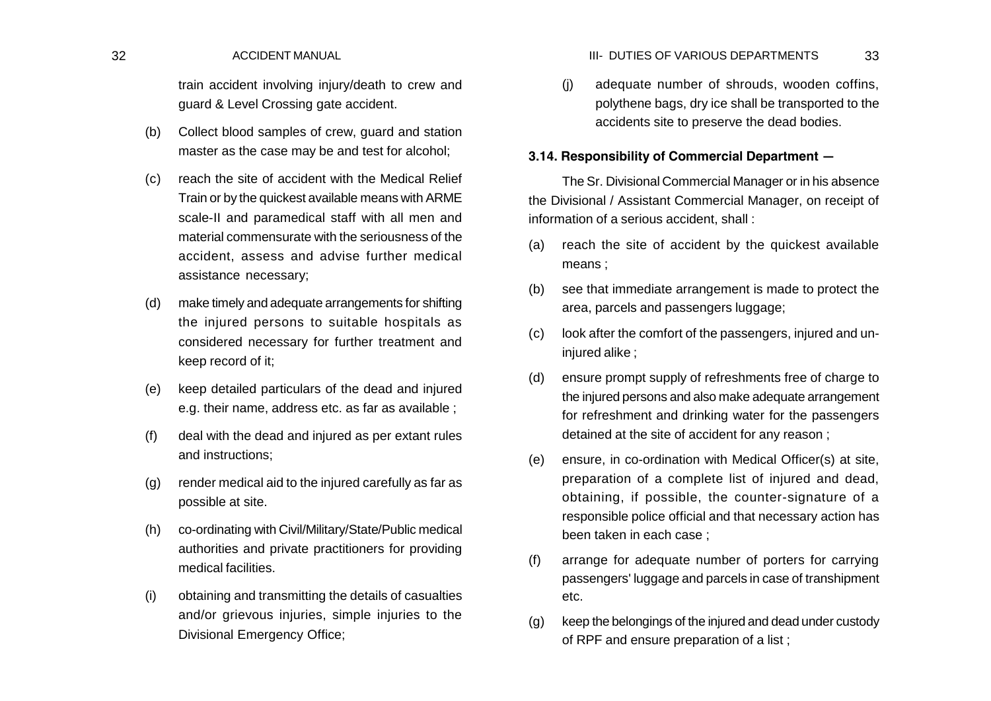train accident involving injury/death to crew and guard & Level Crossing gate accident.

- (b) Collect blood samples of crew, guard and station master as the case may be and test for alcohol;
- (c) reach the site of accident with the Medical Relief Train or by the quickest available means with ARME scale-II and paramedical staff with all men and material commensurate with the seriousness of the accident, assess and advise further medical assistance necessary;
- (d) make timely and adequate arrangements for shifting the injured persons to suitable hospitals as considered necessary for further treatment and keep record of it;
- (e) keep detailed particulars of the dead and injured e.g. their name, address etc. as far as available ;
- (f) deal with the dead and injured as per extant rules and instructions;
- (g) render medical aid to the injured carefully as far as possible at site.
- (h) co-ordinating with Civil/Military/State/Public medical authorities and private practitioners for providing medical facilities.
- (i) obtaining and transmitting the details of casualties and/or grievous injuries, simple injuries to the Divisional Emergency Office;

(j) adequate number of shrouds, wooden coffins, polythene bags, dry ice shall be transported to the accidents site to preserve the dead bodies.

# **3.14. Responsibility of Commercial Department —**

The Sr. Divisional Commercial Manager or in his absence the Divisional / Assistant Commercial Manager, on receipt of information of a serious accident, shall :

- (a) reach the site of accident by the quickest available means ;
- (b) see that immediate arrangement is made to protect the area, parcels and passengers luggage;
- (c) look after the comfort of the passengers, injured and uninjured alike ;
- (d) ensure prompt supply of refreshments free of charge to the injured persons and also make adequate arrangement for refreshment and drinking water for the passengers detained at the site of accident for any reason ;
- (e) ensure, in co-ordination with Medical Officer(s) at site, preparation of a complete list of injured and dead, obtaining, if possible, the counter-signature of a responsible police official and that necessary action has been taken in each case ;
- (f) arrange for adequate number of porters for carrying passengers' luggage and parcels in case of transhipment etc.
- (g) keep the belongings of the injured and dead under custody of RPF and ensure preparation of a list ;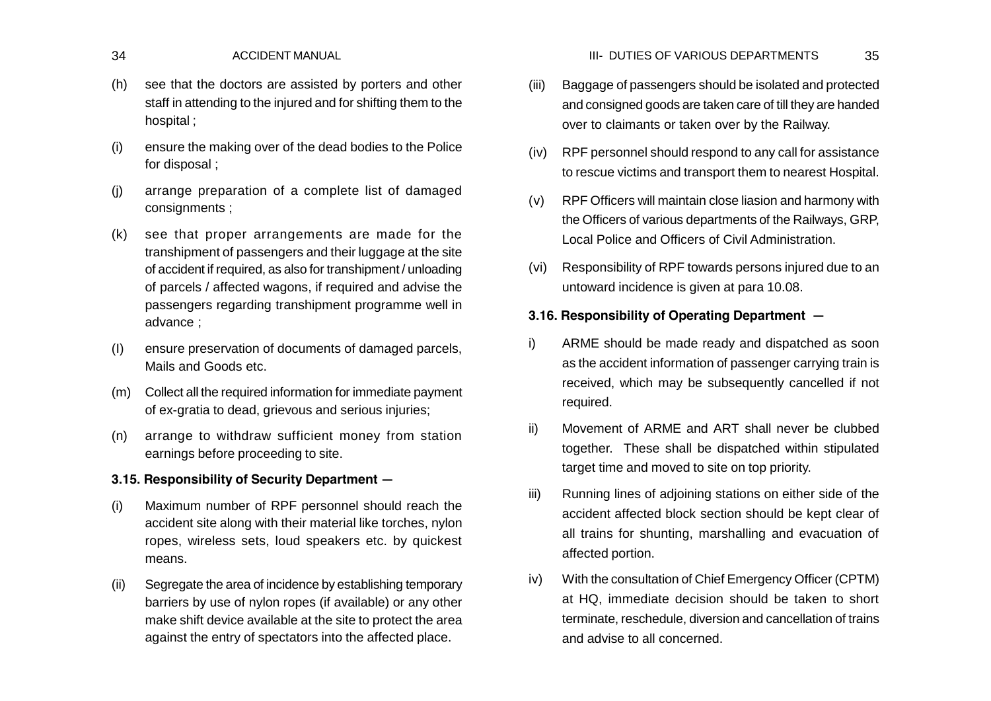- (h) see that the doctors are assisted by porters and other staff in attending to the injured and for shifting them to the hospital ;
- (i) ensure the making over of the dead bodies to the Police for disposal ;
- (j) arrange preparation of a complete list of damaged consignments ;
- (k) see that proper arrangements are made for the transhipment of passengers and their luggage at the site of accident if required, as also for transhipment / unloading of parcels / affected wagons, if required and advise the passengers regarding transhipment programme well in advance ;
- (I) ensure preservation of documents of damaged parcels, Mails and Goods etc.
- (m) Collect all the required information for immediate payment of ex-gratia to dead, grievous and serious injuries;
- (n) arrange to withdraw sufficient money from station earnings before proceeding to site.

# **3.15. Responsibility of Security Department —**

- (i) Maximum number of RPF personnel should reach the accident site along with their material like torches, nylon ropes, wireless sets, loud speakers etc. by quickest means.
- (ii) Segregate the area of incidence by establishing temporary barriers by use of nylon ropes (if available) or any other make shift device available at the site to protect the area against the entry of spectators into the affected place.
- (iii) Baggage of passengers should be isolated and protected and consigned goods are taken care of till they are handed over to claimants or taken over by the Railway.
- (iv) RPF personnel should respond to any call for assistance to rescue victims and transport them to nearest Hospital.
- (v) RPF Officers will maintain close liasion and harmony with the Officers of various departments of the Railways, GRP, Local Police and Officers of Civil Administration.
- (vi) Responsibility of RPF towards persons injured due to an untoward incidence is given at para 10.08.

# **3.16. Responsibility of Operating Department —**

- i) ARME should be made ready and dispatched as soon as the accident information of passenger carrying train is received, which may be subsequently cancelled if not required.
- ii) Movement of ARME and ART shall never be clubbed together. These shall be dispatched within stipulated target time and moved to site on top priority.
- iii) Running lines of adjoining stations on either side of the accident affected block section should be kept clear of all trains for shunting, marshalling and evacuation of affected portion.
- iv) With the consultation of Chief Emergency Officer (CPTM) at HQ, immediate decision should be taken to short terminate, reschedule, diversion and cancellation of trains and advise to all concerned.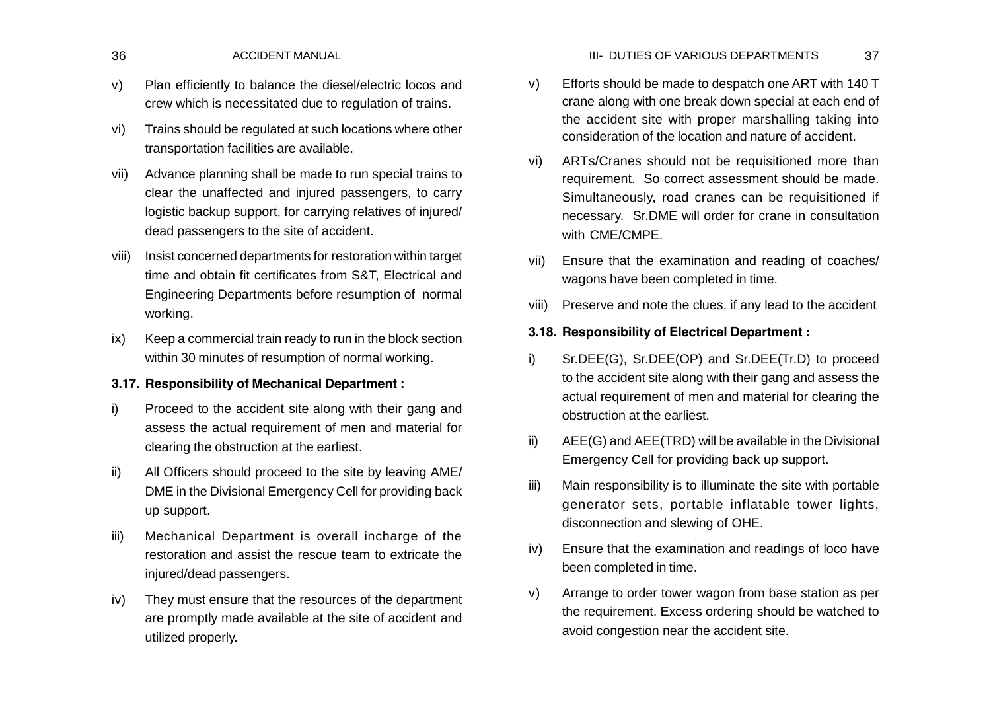- v) Plan efficiently to balance the diesel/electric locos and crew which is necessitated due to regulation of trains.
- vi) Trains should be regulated at such locations where other transportation facilities are available.
- vii) Advance planning shall be made to run special trains to clear the unaffected and injured passengers, to carry logistic backup support, for carrying relatives of injured/ dead passengers to the site of accident.
- viii) Insist concerned departments for restoration within target time and obtain fit certificates from S&T, Electrical and Engineering Departments before resumption of normal working.
- ix) Keep a commercial train ready to run in the block section within 30 minutes of resumption of normal working.

# **3.17. Responsibility of Mechanical Department :**

- i) Proceed to the accident site along with their gang and assess the actual requirement of men and material for clearing the obstruction at the earliest.
- ii) All Officers should proceed to the site by leaving AME/ DME in the Divisional Emergency Cell for providing back up support.
- iii) Mechanical Department is overall incharge of the restoration and assist the rescue team to extricate the injured/dead passengers.
- iv) They must ensure that the resources of the department are promptly made available at the site of accident and utilized properly.
- v) Efforts should be made to despatch one ART with 140 T crane along with one break down special at each end of the accident site with proper marshalling taking into consideration of the location and nature of accident.
- vi) ARTs/Cranes should not be requisitioned more than requirement. So correct assessment should be made. Simultaneously, road cranes can be requisitioned if necessary. Sr.DME will order for crane in consultation with CME/CMPE.
- vii) Ensure that the examination and reading of coaches/ wagons have been completed in time.
- viii) Preserve and note the clues, if any lead to the accident

# **3.18. Responsibility of Electrical Department :**

- i) Sr.DEE(G), Sr.DEE(OP) and Sr.DEE(Tr.D) to proceed to the accident site along with their gang and assess the actual requirement of men and material for clearing the obstruction at the earliest.
- ii) AEE(G) and AEE(TRD) will be available in the Divisional Emergency Cell for providing back up support.
- iii) Main responsibility is to illuminate the site with portable generator sets, portable inflatable tower lights, disconnection and slewing of OHE.
- iv) Ensure that the examination and readings of loco have been completed in time.
- v) Arrange to order tower wagon from base station as per the requirement. Excess ordering should be watched to avoid congestion near the accident site.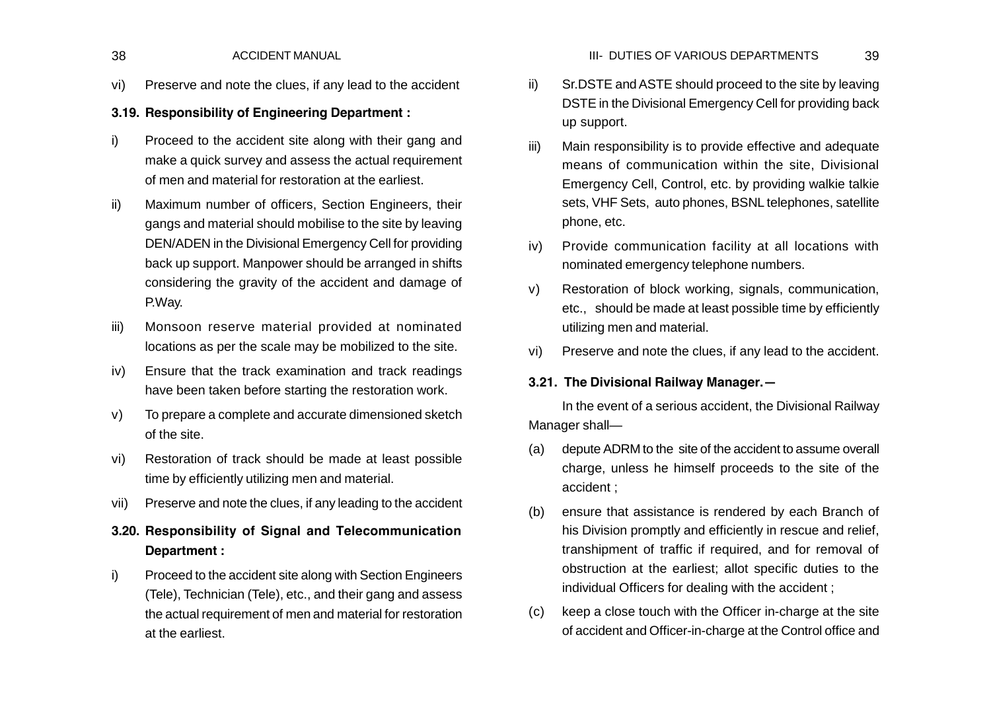vi) Preserve and note the clues, if any lead to the accident

# **3.19. Responsibility of Engineering Department :**

- i) Proceed to the accident site along with their gang and make a quick survey and assess the actual requirement of men and material for restoration at the earliest.
- ii) Maximum number of officers, Section Engineers, their gangs and material should mobilise to the site by leaving DEN/ADEN in the Divisional Emergency Cell for providing back up support. Manpower should be arranged in shifts considering the gravity of the accident and damage of P.Way.
- iii) Monsoon reserve material provided at nominated locations as per the scale may be mobilized to the site.
- iv) Ensure that the track examination and track readings have been taken before starting the restoration work.
- v) To prepare a complete and accurate dimensioned sketch of the site.
- vi) Restoration of track should be made at least possible time by efficiently utilizing men and material.
- vii) Preserve and note the clues, if any leading to the accident
- **3.20. Responsibility of Signal and Telecommunication Department :**
- i) Proceed to the accident site along with Section Engineers (Tele), Technician (Tele), etc., and their gang and assess the actual requirement of men and material for restoration at the earliest.
- ii) Sr.DSTE and ASTE should proceed to the site by leaving DSTE in the Divisional Emergency Cell for providing back up support.
- iii) Main responsibility is to provide effective and adequate means of communication within the site, Divisional Emergency Cell, Control, etc. by providing walkie talkie sets, VHF Sets, auto phones, BSNL telephones, satellite phone, etc.
- iv) Provide communication facility at all locations with nominated emergency telephone numbers.
- v) Restoration of block working, signals, communication, etc., should be made at least possible time by efficiently utilizing men and material.
- vi) Preserve and note the clues, if any lead to the accident.

# **3.21. The Divisional Railway Manager.—**

In the event of a serious accident, the Divisional Railway Manager shall—

- (a) depute ADRM to the site of the accident to assume overall charge, unless he himself proceeds to the site of the accident ;
- (b) ensure that assistance is rendered by each Branch of his Division promptly and efficiently in rescue and relief, transhipment of traffic if required, and for removal of obstruction at the earliest; allot specific duties to the individual Officers for dealing with the accident ;
- (c) keep a close touch with the Officer in-charge at the site of accident and Officer-in-charge at the Control office and